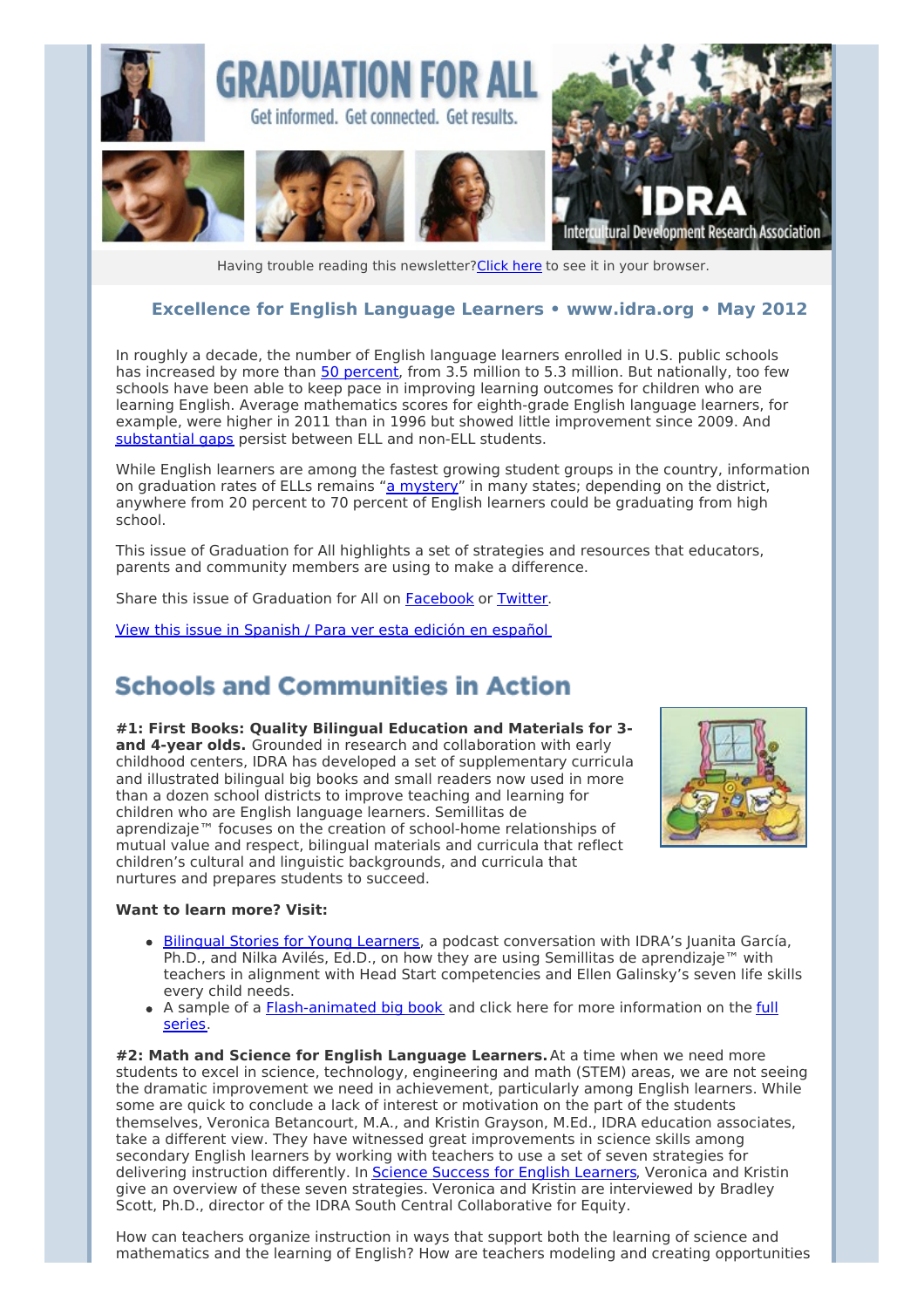

Having trouble reading this newsletter? Click here to see it in your browser.

#### **Excellence for English Language Learners • [www.idra.org](http://newsletter.impulsedevelopment.com/t/r-l-hrpkld-l-t/) • May 2012**

In roughly a decade, the number of English language learners enrolled in U.S. public schools has increased by more than 50 [percent](http://newsletter.impulsedevelopment.com/t/r-l-hrpkld-l-i/), from 3.5 million to 5.3 million. But nationally, too few schools have been able to keep pace in improving learning outcomes for children who are learning English. Average mathematics scores for eighth-grade English language learners, for example, were higher in 2011 than in 1996 but showed little improvement since 2009. And [substantial](http://newsletter.impulsedevelopment.com/t/r-l-hrpkld-l-d/) gaps persist between ELL and non-ELL students.

While English learners are among the fastest growing student groups in the country, information on graduation rates of ELLs remains "a [mystery](http://newsletter.impulsedevelopment.com/t/r-l-hrpkld-l-h/)" in many states; depending on the district, anywhere from 20 percent to 70 percent of English learners could be graduating from high school.

This issue of Graduation for All highlights a set of strategies and resources that educators, parents and community members are using to make a difference.

Share this issue of Graduation for All on [Facebook](/t/r-fb-hrpkld-l-jr/?act=wv) or [Twitter](http://newsletter.impulsedevelopment.com/t/r-tw-hrpkld-l-jt/).

View this issue in [Spanish](http://newsletter.impulsedevelopment.com/t/r-l-hrpkld-l-k/) / Para ver esta edición en español

### **Schools and Communities in Action**

**#1: First Books: Quality Bilingual Education and Materials for 3 and 4-year olds.** Grounded in research and collaboration with early childhood centers, IDRA has developed a set of supplementary curricula and illustrated bilingual big books and small readers now used in more than a dozen school districts to improve teaching and learning for children who are English language learners. Semillitas de aprendizaje™ focuses on the creation of school-home relationships of mutual value and respect, bilingual materials and curricula that reflect children's cultural and linguistic backgrounds, and curricula that nurtures and prepares students to succeed.



#### **Want to learn more? Visit:**

- Bilingual Stories for Young [Learners](http://newsletter.impulsedevelopment.com/t/r-l-hrpkld-l-n/), a podcast conversation with IDRA's Juanita García, Ph.D., and Nilka Avilés, Ed.D., on how they are using Semillitas de aprendizaje™ with teachers in alignment with Head Start competencies and Ellen Galinsky's seven life skills every child needs.
- A sample of a **[Flash-animated](http://newsletter.impulsedevelopment.com/t/r-l-hrpkld-l-x/) big book** and click here for more information on the *full* series.

**#2: Math and Science for English Language Learners.**At a time when we need more students to excel in science, technology, engineering and math (STEM) areas, we are not seeing the dramatic improvement we need in achievement, particularly among English learners. While some are quick to conclude a lack of interest or motivation on the part of the students themselves, Veronica Betancourt, M.A., and Kristin Grayson, M.Ed., IDRA education associates, take a different view. They have witnessed great improvements in science skills among secondary English learners by working with teachers to use a set of seven strategies for delivering instruction differently. In Science Success for English [Learners](http://newsletter.impulsedevelopment.com/t/r-l-hrpkld-l-m/), Veronica and Kristin give an overview of these seven strategies. Veronica and Kristin are interviewed by Bradley Scott, Ph.D., director of the IDRA South Central Collaborative for Equity.

How can teachers organize instruction in ways that support both the learning of science and mathematics and the learning of English? How are teachers modeling and creating opportunities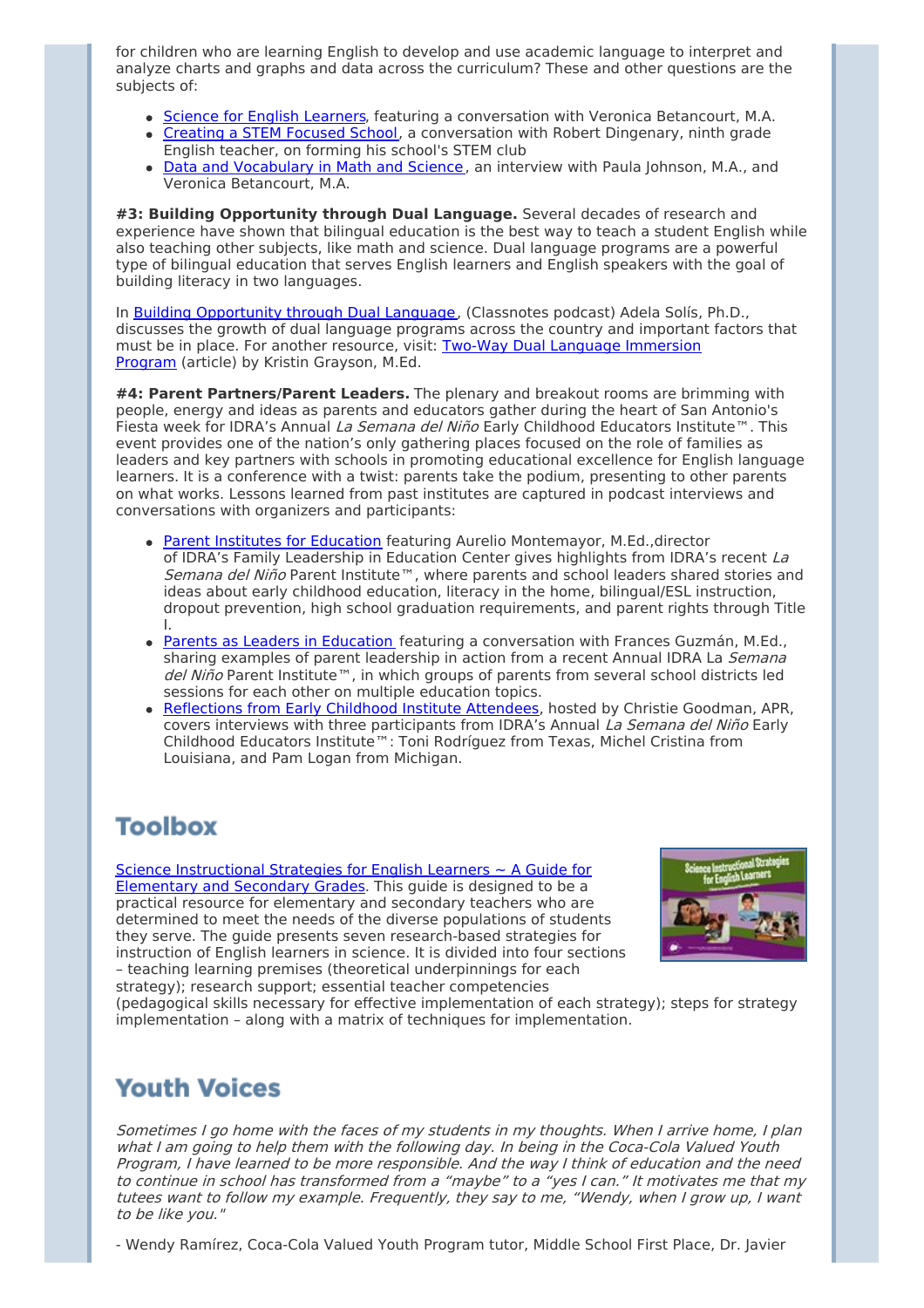for children who are learning English to develop and use academic language to interpret and analyze charts and graphs and data across the curriculum? These and other questions are the subjects of:

- Science for English [Learners](http://newsletter.impulsedevelopment.com/t/r-l-hrpkld-l-c/), featuring a conversation with Veronica Betancourt, M.A.
- [Creating](http://newsletter.impulsedevelopment.com/t/r-l-hrpkld-l-q/) a STEM Focused School, a conversation with Robert Dingenary, ninth grade English teacher, on forming his school's STEM club
- Data and [Vocabulary](http://newsletter.impulsedevelopment.com/t/r-l-hrpkld-l-a/) in Math and Science, an interview with Paula Johnson, M.A., and Veronica Betancourt, M.A.

**#3: Building Opportunity through Dual Language.** Several decades of research and experience have shown that bilingual education is the best way to teach a student English while also teaching other subjects, like math and science. Dual language programs are a powerful type of bilingual education that serves English learners and English speakers with the goal of building literacy in two languages.

In Building [Opportunity](http://newsletter.impulsedevelopment.com/t/r-l-hrpkld-l-f/) through Dual Language, (Classnotes podcast) Adela Solís, Ph.D., discusses the growth of dual language programs across the country and important factors that must be in place. For another resource, visit: Two-Way Dual Language [Immersion](http://newsletter.impulsedevelopment.com/t/r-l-hrpkld-l-z/) Program (article) by Kristin Grayson, M.Ed.

**#4: Parent Partners/Parent Leaders.** The plenary and breakout rooms are brimming with people, energy and ideas as parents and educators gather during the heart of San Antonio's Fiesta week for IDRA's Annual La Semana del Niño Early Childhood Educators Institute™. This event provides one of the nation's only gathering places focused on the role of families as leaders and key partners with schools in promoting educational excellence for English language learners. It is a conference with a twist: parents take the podium, presenting to other parents on what works. Lessons learned from past institutes are captured in podcast interviews and conversations with organizers and participants:

- Parent Institutes for [Education](http://newsletter.impulsedevelopment.com/t/r-l-hrpkld-l-v/) featuring Aurelio Montemayor, M.Ed.,director of IDRA's Family Leadership in Education Center gives highlights from IDRA's recent La Semana del Niño Parent Institute™, where parents and school leaders shared stories and ideas about early childhood education, literacy in the home, bilingual/ESL instruction, dropout prevention, high school graduation requirements, and parent rights through Title
- I. Parents as Leaders in [Education](http://newsletter.impulsedevelopment.com/t/r-l-hrpkld-l-e/) featuring a conversation with Frances Guzmán, M.Ed., sharing examples of parent leadership in action from a recent Annual IDRA La Semana del Niño Parent Institute™, in which groups of parents from several school districts led sessions for each other on multiple education topics.
- [Reflections](http://newsletter.impulsedevelopment.com/t/r-l-hrpkld-l-s/) from Early Childhood Institute Attendees, hosted by Christie Goodman, APR, covers interviews with three participants from IDRA's Annual La Semana del Niño Early Childhood Educators Institute™: Toni Rodríguez from Texas, Michel Cristina from Louisiana, and Pam Logan from Michigan.

# **Toolbox**

Science [Instructional](http://newsletter.impulsedevelopment.com/t/r-l-hrpkld-l-g/) Strategies for English Learners ~ A Guide for Elementary and Secondary Grades. This guide is designed to be a practical resource for elementary and secondary teachers who are determined to meet the needs of the diverse populations of students they serve. The guide presents seven research-based strategies for instruction of English learners in science. It is divided into four sections – teaching learning premises (theoretical underpinnings for each strategy); research support; essential teacher competencies



(pedagogical skills necessary for effective implementation of each strategy); steps for strategy implementation – along with a matrix of techniques for implementation.

### **Youth Voices**

Sometimes I go home with the faces of my students in my thoughts. When I arrive home, I plan what I am going to help them with the following day. In being in the Coca-Cola Valued Youth Program, I have learned to be more responsible. And the way I think of education and the need to continue in school has transformed from <sup>a</sup> "maybe" to <sup>a</sup> "yes I can." It motivates me that my tutees want to follow my example. Frequently, they say to me, "Wendy, when I grow up, I want to be like you."

- Wendy Ramírez, Coca-Cola Valued Youth Program tutor, Middle School First Place, Dr. Javier